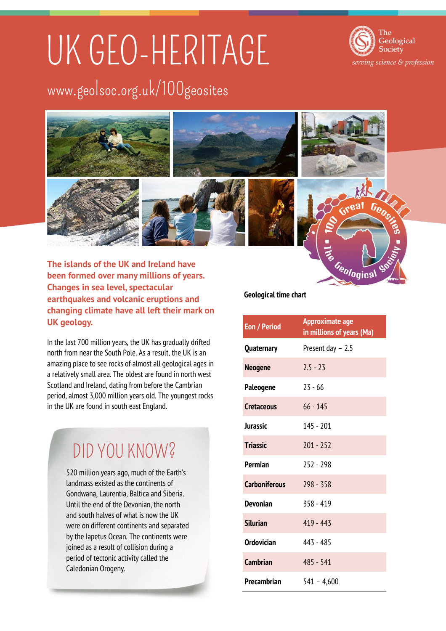# UK GEO-HERITAGE

Geological Society serving science & profession

### www.geolsoc.org.uk/100geosites



**The islands of the UK and Ireland have been formed over many millions of years. Changes in sea level, spectacular earthquakes and volcanic eruptions and changing climate have all left their mark on UK geology.** 

In the last 700 million years, the UK has gradually drifted north from near the South Pole. As a result, the UK is an amazing place to see rocks of almost all geological ages in a relatively small area. The oldest are found in north west Scotland and Ireland, dating from before the Cambrian period, almost 3,000 million years old. The youngest rocks in the UK are found in south east England.

### DID YOU KNOW?

520 million years ago, much of the Earth's landmass existed as the continents of Gondwana, Laurentia, Baltica and Siberia. Until the end of the Devonian, the north and south halves of what is now the UK were on different continents and separated by the Iapetus Ocean. The continents were joined as a result of collision during a period of tectonic activity called the Caledonian Orogeny.

#### **Geological time chart**

| <b>Eon / Period</b>  | <b>Approximate age</b><br>in millions of years (Ma) |
|----------------------|-----------------------------------------------------|
| <b>Quaternary</b>    | Present day - 2.5                                   |
| <b>Neogene</b>       | $2.5 - 23$                                          |
| Paleogene            | $23 - 66$                                           |
| <b>Cretaceous</b>    | $66 - 145$                                          |
| Jurassic             | $145 - 201$                                         |
| <b>Triassic</b>      | $201 - 252$                                         |
| <b>Permian</b>       | $757 - 798$                                         |
| <b>Carboniferous</b> | $298 - 358$                                         |
| <b>Devonian</b>      | $358 - 419$                                         |
| <b>Silurian</b>      | 419 - 443                                           |
| <b>Ordovician</b>    | 443 - 485                                           |
| <b>Cambrian</b>      | 485 - 541                                           |
| Precambrian          | $541 - 4,600$                                       |